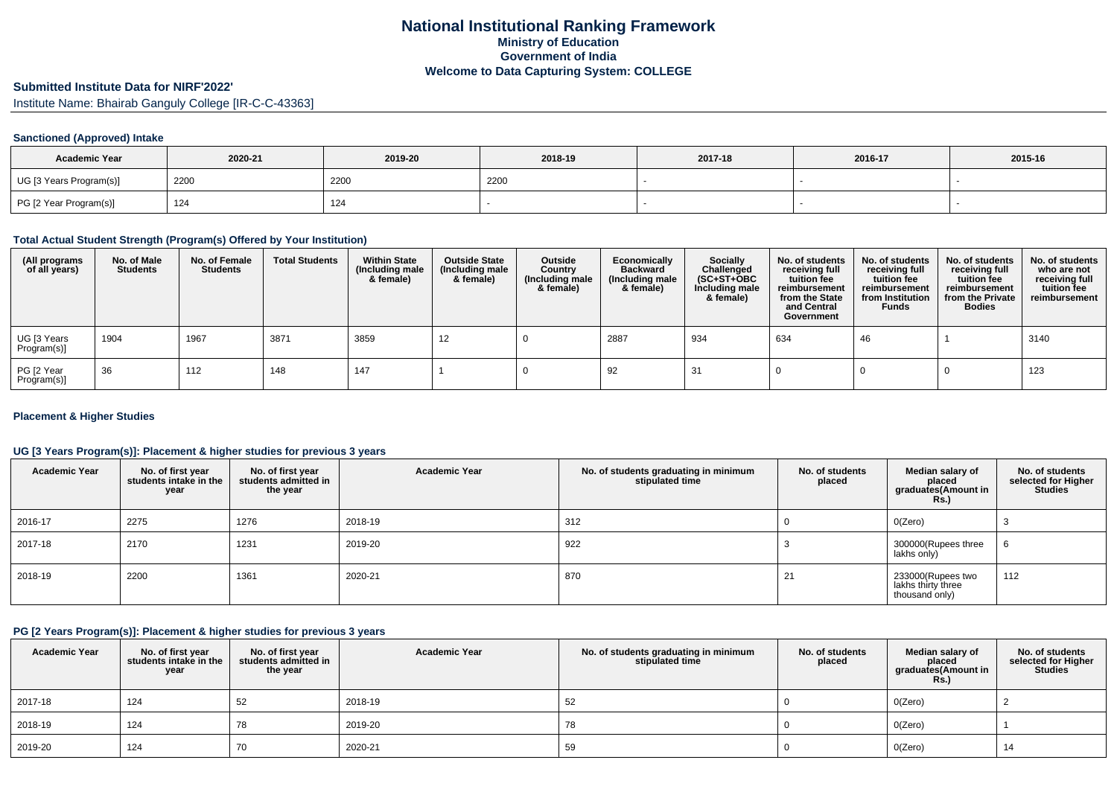# **Submitted Institute Data for NIRF'2022'**

Institute Name: Bhairab Ganguly College [IR-C-C-43363]

### **Sanctioned (Approved) Intake**

| <b>Academic Year</b>    | 2020-21 | 2019-20 | 2018-19 | 2017-18 | 2016-17 | 2015-16 |
|-------------------------|---------|---------|---------|---------|---------|---------|
| UG [3 Years Program(s)] | 2200    | 2200    | 2200    |         |         |         |
| PG [2 Year Program(s)]  | 124     | 124     |         |         |         |         |

# **Total Actual Student Strength (Program(s) Offered by Your Institution)**

| (All programs<br>of all years) | No. of Male<br><b>Students</b> | No. of Female<br><b>Students</b> | <b>Total Students</b> | <b>Within State</b><br>(Including male<br>& female) | <b>Outside State</b><br>(Including male<br>& female) | Outside<br>Country<br>(Including male<br>& female) | Economically<br><b>Backward</b><br>(Including male<br>& female) | <b>Socially</b><br>Challenged<br>$(SC+ST+OBC)$<br>Including male<br>& female) | No. of students<br>receiving full<br>tuition fee<br>reimbursement<br>from the State<br>and Central<br>Government | No. of students<br>receiving full<br>tuition fee<br>reimbursement<br>from Institution<br><b>Funds</b> | No. of students<br>receiving full<br>tuition fee<br>reimbursement<br>from the Private<br><b>Bodies</b> | No. of students<br>who are not<br>receiving full<br>tuition fee<br>reimbursement |
|--------------------------------|--------------------------------|----------------------------------|-----------------------|-----------------------------------------------------|------------------------------------------------------|----------------------------------------------------|-----------------------------------------------------------------|-------------------------------------------------------------------------------|------------------------------------------------------------------------------------------------------------------|-------------------------------------------------------------------------------------------------------|--------------------------------------------------------------------------------------------------------|----------------------------------------------------------------------------------|
| UG [3 Years<br>Program(s)]     | 1904                           | 1967                             | 3871                  | 3859                                                | -12                                                  |                                                    | 2887                                                            | 934                                                                           | 634                                                                                                              | 46                                                                                                    |                                                                                                        | 3140                                                                             |
| PG [2 Year<br>Program(s)]      | 36                             | 112                              | 148                   | 147                                                 |                                                      |                                                    | 92                                                              | 31                                                                            |                                                                                                                  |                                                                                                       |                                                                                                        | 123                                                                              |

### **Placement & Higher Studies**

### **UG [3 Years Program(s)]: Placement & higher studies for previous 3 years**

| <b>Academic Year</b> | No. of first year<br>students intake in the<br>year | No. of first year<br>students admitted in<br>the year | <b>Academic Year</b> | No. of students graduating in minimum<br>stipulated time | No. of students<br>placed | Median salary of<br>placed<br>graduates(Amount in<br><b>Rs.)</b> | No. of students<br>selected for Higher<br><b>Studies</b> |
|----------------------|-----------------------------------------------------|-------------------------------------------------------|----------------------|----------------------------------------------------------|---------------------------|------------------------------------------------------------------|----------------------------------------------------------|
| 2016-17              | 2275                                                | 1276                                                  | 2018-19              | 312                                                      |                           | O(Zero)                                                          |                                                          |
| 2017-18              | 2170                                                | 1231                                                  | 2019-20              | 922                                                      |                           | 300000(Rupees three<br>lakhs only)                               |                                                          |
| 2018-19              | 2200                                                | 1361                                                  | 2020-21              | 870                                                      | 21                        | 233000(Rupees two<br>lakhs thirty three<br>thousand only)        | 112                                                      |

# **PG [2 Years Program(s)]: Placement & higher studies for previous 3 years**

| <b>Academic Year</b> | No. of first year<br>students intake in the<br>year | No. of first year<br>students admitted in<br>the year | <b>Academic Year</b> | No. of students graduating in minimum<br>stipulated time | No. of students<br>placed | Median salary of<br>placed<br>graduates(Amount in<br><b>Rs.)</b> | No. of students<br>selected for Higher<br><b>Studies</b> |
|----------------------|-----------------------------------------------------|-------------------------------------------------------|----------------------|----------------------------------------------------------|---------------------------|------------------------------------------------------------------|----------------------------------------------------------|
| 2017-18              | 124                                                 | 52                                                    | 2018-19              | 52                                                       |                           | O(Zero)                                                          |                                                          |
| 2018-19              | 124                                                 | 78                                                    | 2019-20              | 78                                                       |                           | O(Zero)                                                          |                                                          |
| 2019-20              | 124                                                 | 70                                                    | 2020-21              | 59                                                       |                           | O(Zero)                                                          | 14                                                       |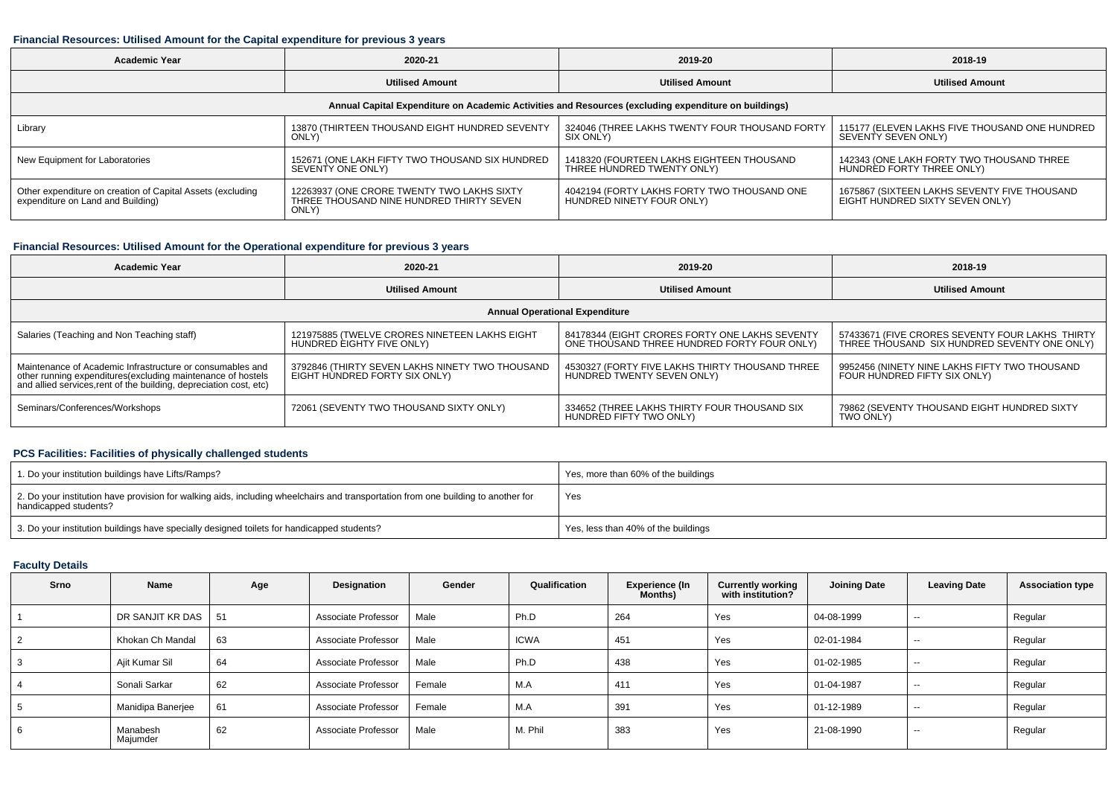### **Financial Resources: Utilised Amount for the Capital expenditure for previous 3 years**

| Academic Year                                                                                   | 2020-21                                                                                         | 2019-20                                                                                              | 2018-19                                                                         |  |
|-------------------------------------------------------------------------------------------------|-------------------------------------------------------------------------------------------------|------------------------------------------------------------------------------------------------------|---------------------------------------------------------------------------------|--|
| <b>Utilised Amount</b>                                                                          |                                                                                                 | <b>Utilised Amount</b>                                                                               | <b>Utilised Amount</b>                                                          |  |
|                                                                                                 |                                                                                                 | Annual Capital Expenditure on Academic Activities and Resources (excluding expenditure on buildings) |                                                                                 |  |
| Library                                                                                         | 13870 (THIRTEEN THOUSAND EIGHT HUNDRED SEVENTY<br>ONLY)                                         | 324046 (THREE LAKHS TWENTY FOUR THOUSAND FORTY<br>SIX ONLY)                                          | 115177 (ELEVEN LAKHS FIVE THOUSAND ONE HUNDRED<br>SEVENTY SEVEN ONLY)           |  |
| New Equipment for Laboratories                                                                  | 152671 (ONE LAKH FIFTY TWO THOUSAND SIX HUNDRED<br>SEVENTY ONE ONLY)                            | 1418320 (FOURTEEN LAKHS EIGHTEEN THOUSAND<br>THREE HUNDRED TWENTY ONLY)                              | 142343 (ONE LAKH FORTY TWO THOUSAND THREE<br>HUNDRED FORTY THREE ONLY)          |  |
| Other expenditure on creation of Capital Assets (excluding<br>expenditure on Land and Building) | 12263937 (ONE CRORE TWENTY TWO LAKHS SIXTY<br>THREE THOUSAND NINE HUNDRED THIRTY SEVEN<br>ONLY) | 4042194 (FORTY LAKHS FORTY TWO THOUSAND ONE<br>HUNDRED NINETY FOUR ONLY)                             | 1675867 (SIXTEEN LAKHS SEVENTY FIVE THOUSAND<br>EIGHT HÙNDRED SIXTY SEVEN ONLY) |  |

# **Financial Resources: Utilised Amount for the Operational expenditure for previous 3 years**

| <b>Academic Year</b>                                                                                                                                                                          | 2020-21                                                                          | 2019-20                                                                                       | 2018-19                                                                                         |
|-----------------------------------------------------------------------------------------------------------------------------------------------------------------------------------------------|----------------------------------------------------------------------------------|-----------------------------------------------------------------------------------------------|-------------------------------------------------------------------------------------------------|
|                                                                                                                                                                                               | <b>Utilised Amount</b>                                                           | <b>Utilised Amount</b>                                                                        | <b>Utilised Amount</b>                                                                          |
|                                                                                                                                                                                               |                                                                                  | <b>Annual Operational Expenditure</b>                                                         |                                                                                                 |
| Salaries (Teaching and Non Teaching staff)                                                                                                                                                    | 121975885 (TWELVE CRORES NINETEEN LAKHS EIGHT<br>HUNDRED EIGHTY FIVE ONLY)       | 84178344 (EIGHT CRORES FORTY ONE LAKHS SEVENTY<br>ONE THOUSAND THREE HUNDRED FORTY FOUR ONLY) | 57433671 (FIVE CRORES SEVENTY FOUR LAKHS THIRTY<br>THREE THOUSAND SIX HUNDRED SEVENTY ONE ONLY) |
| Maintenance of Academic Infrastructure or consumables and<br>other running expenditures(excluding maintenance of hostels<br>and allied services,rent of the building, depreciation cost, etc) | 3792846 (THIRTY SEVEN LAKHS NINETY TWO THOUSAND<br>EIGHT HUNDRED FORTY SIX ONLY) | 4530327 (FORTY FIVE LAKHS THIRTY THOUSAND THREE<br>HUNDRED TWENTY SEVEN ONLY)                 | 9952456 (NINETY NINE LAKHS FIFTY TWO THOUSAND<br>FOUR HUNDRED FIFTY SIX ONLY)                   |
| Seminars/Conferences/Workshops                                                                                                                                                                | 72061 (SEVENTY TWO THOUSAND SIXTY ONLY)                                          | 334652 (THREE LAKHS THIRTY FOUR THOUSAND SIX<br>HUNDRED FIFTY TWO ONLY)                       | 79862 (SEVENTY THOUSAND EIGHT HUNDRED SIXTY<br>TWO ONLY)                                        |

# **PCS Facilities: Facilities of physically challenged students**

| 1. Do your institution buildings have Lifts/Ramps?                                                                                                         | Yes, more than 60% of the buildings |
|------------------------------------------------------------------------------------------------------------------------------------------------------------|-------------------------------------|
| 2. Do your institution have provision for walking aids, including wheelchairs and transportation from one building to another for<br>handicapped students? | Yes                                 |
| 3. Do your institution buildings have specially designed toilets for handicapped students?                                                                 | Yes, less than 40% of the buildings |

# **Faculty Details**

| <b>Srno</b> | Name                 | Age | Designation         | Gender | Qualification | <b>Experience (In</b><br>Months) | <b>Currently working</b><br>with institution? | <b>Joining Date</b> | <b>Leaving Date</b> | <b>Association type</b> |
|-------------|----------------------|-----|---------------------|--------|---------------|----------------------------------|-----------------------------------------------|---------------------|---------------------|-------------------------|
|             | DR SANJIT KR DAS     | 51  | Associate Professor | Male   | Ph.D          | 264                              | Yes                                           | 04-08-1999          | $\sim$              | Regular                 |
|             | Khokan Ch Mandal     | 63  | Associate Professor | Male   | <b>ICWA</b>   | 451                              | Yes                                           | 02-01-1984          | $\sim$              | Regular                 |
|             | Ajit Kumar Sil       | 64  | Associate Professor | Male   | Ph.D          | 438                              | Yes                                           | 01-02-1985          | $-$                 | Regular                 |
|             | Sonali Sarkar        | 62  | Associate Professor | Female | M.A           | 411                              | Yes                                           | 01-04-1987          | $\sim$              | Regular                 |
|             | Manidipa Banerjee    | 61  | Associate Professor | Female | M.A           | 391                              | Yes                                           | 01-12-1989          | $\sim$              | Regular                 |
|             | Manabesh<br>Majumder | 62  | Associate Professor | Male   | M. Phil       | 383                              | Yes                                           | 21-08-1990          | $-$                 | Regular                 |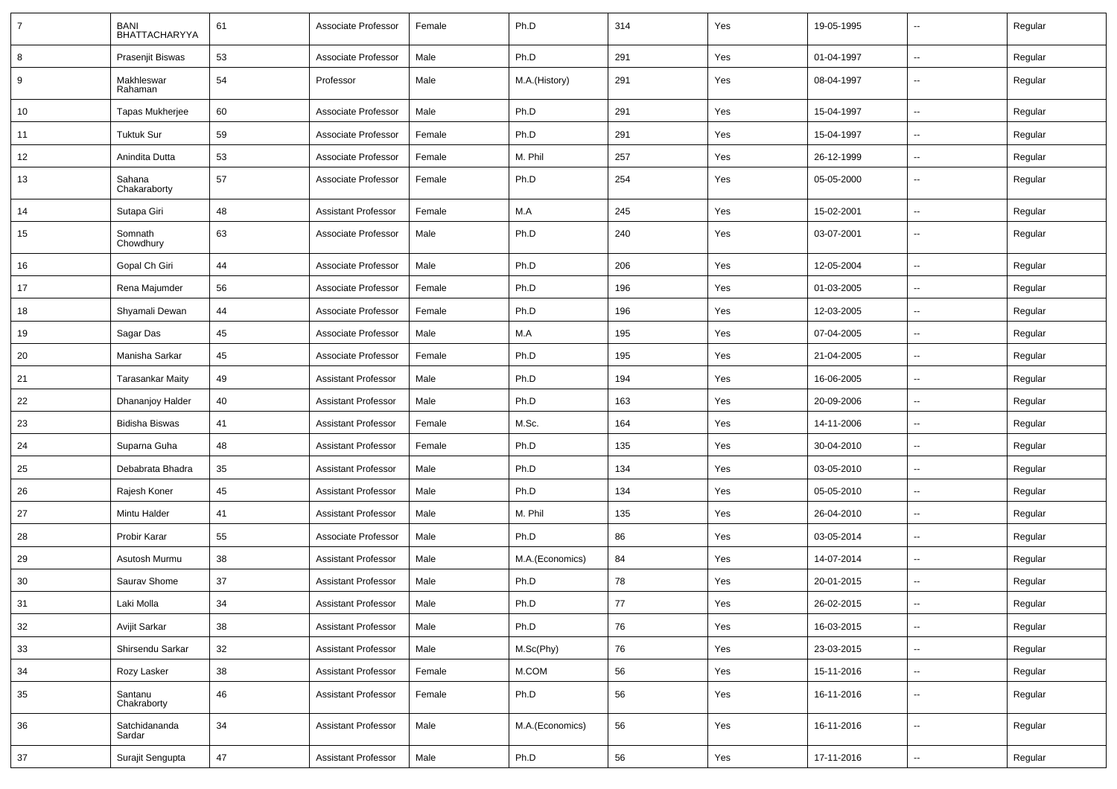| $\overline{7}$ | <b>BANI</b><br>BHATTACHARYYA | 61 | Associate Professor        | Female | Ph.D            | 314 | Yes | 19-05-1995 | $\overline{\phantom{a}}$ | Regular |
|----------------|------------------------------|----|----------------------------|--------|-----------------|-----|-----|------------|--------------------------|---------|
| 8              | Prasenjit Biswas             | 53 | Associate Professor        | Male   | Ph.D            | 291 | Yes | 01-04-1997 | $\sim$                   | Regular |
| 9              | Makhleswar<br>Rahaman        | 54 | Professor                  | Male   | M.A.(History)   | 291 | Yes | 08-04-1997 | ⊶.                       | Regular |
| 10             | <b>Tapas Mukherjee</b>       | 60 | Associate Professor        | Male   | Ph.D            | 291 | Yes | 15-04-1997 | -−                       | Regular |
| 11             | <b>Tuktuk Sur</b>            | 59 | Associate Professor        | Female | Ph.D            | 291 | Yes | 15-04-1997 | -−                       | Regular |
| 12             | Anindita Dutta               | 53 | Associate Professor        | Female | M. Phil         | 257 | Yes | 26-12-1999 | --                       | Regular |
| 13             | Sahana<br>Chakaraborty       | 57 | Associate Professor        | Female | Ph.D            | 254 | Yes | 05-05-2000 | н.                       | Regular |
| 14             | Sutapa Giri                  | 48 | <b>Assistant Professor</b> | Female | M.A             | 245 | Yes | 15-02-2001 | -−                       | Regular |
| 15             | Somnath<br>Chowdhury         | 63 | Associate Professor        | Male   | Ph.D            | 240 | Yes | 03-07-2001 | ÷.                       | Regular |
| 16             | Gopal Ch Giri                | 44 | Associate Professor        | Male   | Ph.D            | 206 | Yes | 12-05-2004 | ÷.                       | Regular |
| 17             | Rena Majumder                | 56 | Associate Professor        | Female | Ph.D            | 196 | Yes | 01-03-2005 | $\overline{\phantom{a}}$ | Regular |
| 18             | Shyamali Dewan               | 44 | Associate Professor        | Female | Ph.D            | 196 | Yes | 12-03-2005 | -−                       | Regular |
| 19             | Sagar Das                    | 45 | Associate Professor        | Male   | M.A             | 195 | Yes | 07-04-2005 | -−                       | Regular |
| 20             | Manisha Sarkar               | 45 | Associate Professor        | Female | Ph.D            | 195 | Yes | 21-04-2005 | --                       | Regular |
| 21             | <b>Tarasankar Maity</b>      | 49 | <b>Assistant Professor</b> | Male   | Ph.D            | 194 | Yes | 16-06-2005 | -−                       | Regular |
| 22             | Dhananjoy Halder             | 40 | <b>Assistant Professor</b> | Male   | Ph.D            | 163 | Yes | 20-09-2006 | ÷.                       | Regular |
| 23             | <b>Bidisha Biswas</b>        | 41 | <b>Assistant Professor</b> | Female | M.Sc.           | 164 | Yes | 14-11-2006 | $\overline{\phantom{a}}$ | Regular |
| 24             | Suparna Guha                 | 48 | <b>Assistant Professor</b> | Female | Ph.D            | 135 | Yes | 30-04-2010 | н.                       | Regular |
| 25             | Debabrata Bhadra             | 35 | <b>Assistant Professor</b> | Male   | Ph.D            | 134 | Yes | 03-05-2010 | ÷.                       | Regular |
| 26             | Rajesh Koner                 | 45 | <b>Assistant Professor</b> | Male   | Ph.D            | 134 | Yes | 05-05-2010 | --                       | Regular |
| 27             | Mintu Halder                 | 41 | <b>Assistant Professor</b> | Male   | M. Phil         | 135 | Yes | 26-04-2010 | -−                       | Regular |
| 28             | Probir Karar                 | 55 | Associate Professor        | Male   | Ph.D            | 86  | Yes | 03-05-2014 | $\mathbf{u}$             | Regular |
| 29             | Asutosh Murmu                | 38 | <b>Assistant Professor</b> | Male   | M.A.(Economics) | 84  | Yes | 14-07-2014 | $\overline{\phantom{a}}$ | Regular |
| 30             | Saurav Shome                 | 37 | <b>Assistant Professor</b> | Male   | Ph.D            | 78  | Yes | 20-01-2015 | -−                       | Regular |
| 31             | Laki Molla                   | 34 | <b>Assistant Professor</b> | Male   | Ph.D            | 77  | Yes | 26-02-2015 | $\sim$                   | Regular |
| 32             | Avijit Sarkar                | 38 | <b>Assistant Professor</b> | Male   | Ph.D            | 76  | Yes | 16-03-2015 | Щ,                       | Regular |
| 33             | Shirsendu Sarkar             | 32 | <b>Assistant Professor</b> | Male   | M.Sc(Phy)       | 76  | Yes | 23-03-2015 | Щ,                       | Regular |
| 34             | Rozy Lasker                  | 38 | <b>Assistant Professor</b> | Female | M.COM           | 56  | Yes | 15-11-2016 | ц.                       | Regular |
| 35             | Santanu<br>Chakraborty       | 46 | <b>Assistant Professor</b> | Female | Ph.D            | 56  | Yes | 16-11-2016 | $\overline{\phantom{a}}$ | Regular |
| 36             | Satchidananda<br>Sardar      | 34 | <b>Assistant Professor</b> | Male   | M.A.(Economics) | 56  | Yes | 16-11-2016 | Щ,                       | Regular |
| 37             | Surajit Sengupta             | 47 | <b>Assistant Professor</b> | Male   | Ph.D            | 56  | Yes | 17-11-2016 | Щ,                       | Regular |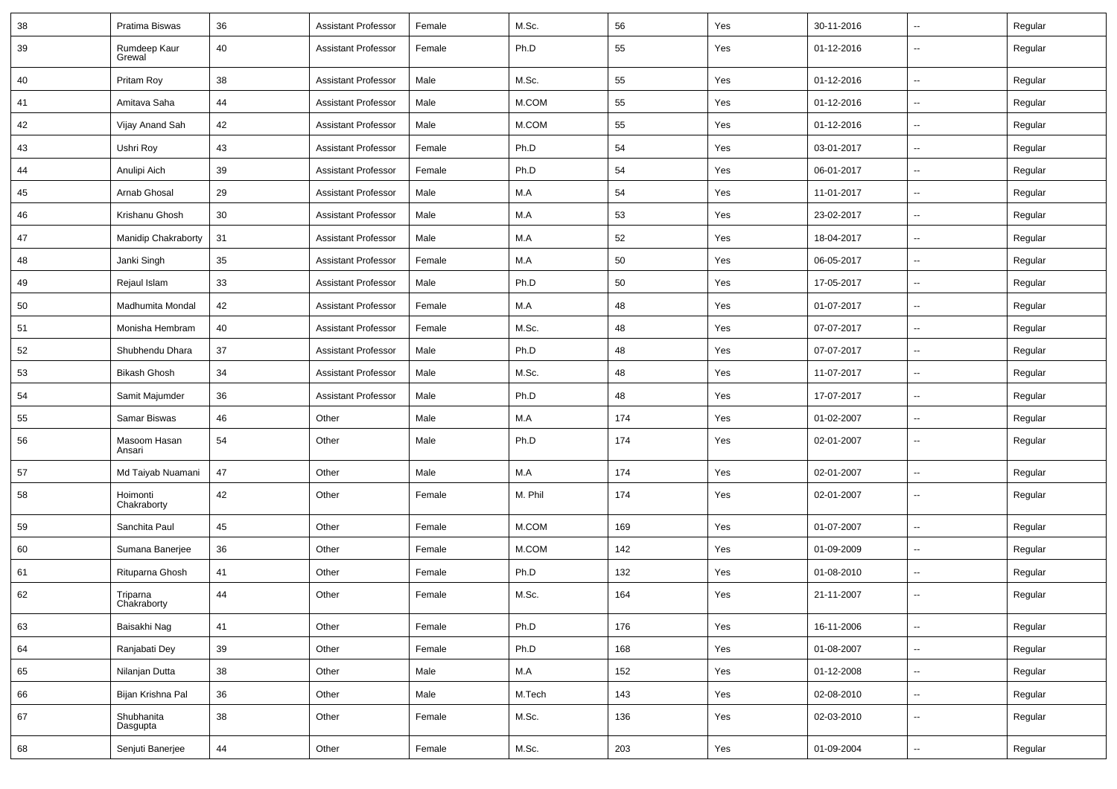| 38 | Pratima Biswas          | 36 | <b>Assistant Professor</b> | Female | M.Sc.   | 56  | Yes | 30-11-2016 | $\sim$                   | Regular |
|----|-------------------------|----|----------------------------|--------|---------|-----|-----|------------|--------------------------|---------|
| 39 | Rumdeep Kaur<br>Grewal  | 40 | <b>Assistant Professor</b> | Female | Ph.D    | 55  | Yes | 01-12-2016 | $\mathbf{u}$             | Regular |
| 40 | Pritam Roy              | 38 | <b>Assistant Professor</b> | Male   | M.Sc.   | 55  | Yes | 01-12-2016 | $\sim$                   | Regular |
| 41 | Amitava Saha            | 44 | <b>Assistant Professor</b> | Male   | M.COM   | 55  | Yes | 01-12-2016 | $\sim$                   | Regular |
| 42 | Vijay Anand Sah         | 42 | <b>Assistant Professor</b> | Male   | M.COM   | 55  | Yes | 01-12-2016 | $\overline{\phantom{a}}$ | Regular |
| 43 | Ushri Roy               | 43 | <b>Assistant Professor</b> | Female | Ph.D    | 54  | Yes | 03-01-2017 | $\overline{\phantom{a}}$ | Regular |
| 44 | Anulipi Aich            | 39 | <b>Assistant Professor</b> | Female | Ph.D    | 54  | Yes | 06-01-2017 | $\overline{\phantom{a}}$ | Regular |
| 45 | Arnab Ghosal            | 29 | <b>Assistant Professor</b> | Male   | M.A     | 54  | Yes | 11-01-2017 | $\sim$                   | Regular |
| 46 | Krishanu Ghosh          | 30 | <b>Assistant Professor</b> | Male   | M.A     | 53  | Yes | 23-02-2017 | $\sim$                   | Regular |
| 47 | Manidip Chakraborty     | 31 | <b>Assistant Professor</b> | Male   | M.A     | 52  | Yes | 18-04-2017 | $\mathbf{u}$             | Regular |
| 48 | Janki Singh             | 35 | <b>Assistant Professor</b> | Female | M.A     | 50  | Yes | 06-05-2017 | $\overline{\phantom{a}}$ | Regular |
| 49 | Rejaul Islam            | 33 | <b>Assistant Professor</b> | Male   | Ph.D    | 50  | Yes | 17-05-2017 | $\mathbf{u}$             | Regular |
| 50 | Madhumita Mondal        | 42 | <b>Assistant Professor</b> | Female | M.A     | 48  | Yes | 01-07-2017 | $\sim$                   | Regular |
| 51 | Monisha Hembram         | 40 | <b>Assistant Professor</b> | Female | M.Sc.   | 48  | Yes | 07-07-2017 | $\sim$                   | Regular |
| 52 | Shubhendu Dhara         | 37 | <b>Assistant Professor</b> | Male   | Ph.D    | 48  | Yes | 07-07-2017 | $\sim$                   | Regular |
| 53 | <b>Bikash Ghosh</b>     | 34 | <b>Assistant Professor</b> | Male   | M.Sc.   | 48  | Yes | 11-07-2017 | $\mathbf{u}$             | Regular |
| 54 | Samit Majumder          | 36 | <b>Assistant Professor</b> | Male   | Ph.D    | 48  | Yes | 17-07-2017 | $\sim$                   | Regular |
| 55 | Samar Biswas            | 46 | Other                      | Male   | M.A     | 174 | Yes | 01-02-2007 | $\mathbf{u}$             | Regular |
| 56 | Masoom Hasan<br>Ansari  | 54 | Other                      | Male   | Ph.D    | 174 | Yes | 02-01-2007 | $\sim$                   | Regular |
| 57 | Md Taiyab Nuamani       | 47 | Other                      | Male   | M.A     | 174 | Yes | 02-01-2007 | $\sim$                   | Regular |
| 58 | Hoimonti<br>Chakraborty | 42 | Other                      | Female | M. Phil | 174 | Yes | 02-01-2007 | $\overline{\phantom{a}}$ | Regular |
| 59 | Sanchita Paul           | 45 | Other                      | Female | M.COM   | 169 | Yes | 01-07-2007 | $\sim$                   | Regular |
| 60 | Sumana Banerjee         | 36 | Other                      | Female | M.COM   | 142 | Yes | 01-09-2009 | $\sim$                   | Regular |
| 61 | Rituparna Ghosh         | 41 | Other                      | Female | Ph.D    | 132 | Yes | 01-08-2010 | $\sim$                   | Regular |
| 62 | Triparna<br>Chakraborty | 44 | Other                      | Female | M.Sc.   | 164 | Yes | 21-11-2007 | --                       | Regular |
| 63 | Baisakhi Nag            | 41 | Other                      | Female | Ph.D    | 176 | Yes | 16-11-2006 | $\sim$                   | Regular |
| 64 | Ranjabati Dey           | 39 | Other                      | Female | Ph.D    | 168 | Yes | 01-08-2007 | $\sim$                   | Regular |
| 65 | Nilanjan Dutta          | 38 | Other                      | Male   | M.A     | 152 | Yes | 01-12-2008 | $\sim$                   | Regular |
| 66 | Bijan Krishna Pal       | 36 | Other                      | Male   | M.Tech  | 143 | Yes | 02-08-2010 | $\sim$                   | Regular |
| 67 | Shubhanita<br>Dasgupta  | 38 | Other                      | Female | M.Sc.   | 136 | Yes | 02-03-2010 | $\sim$                   | Regular |
| 68 | Senjuti Banerjee        | 44 | Other                      | Female | M.Sc.   | 203 | Yes | 01-09-2004 | $\sim$                   | Regular |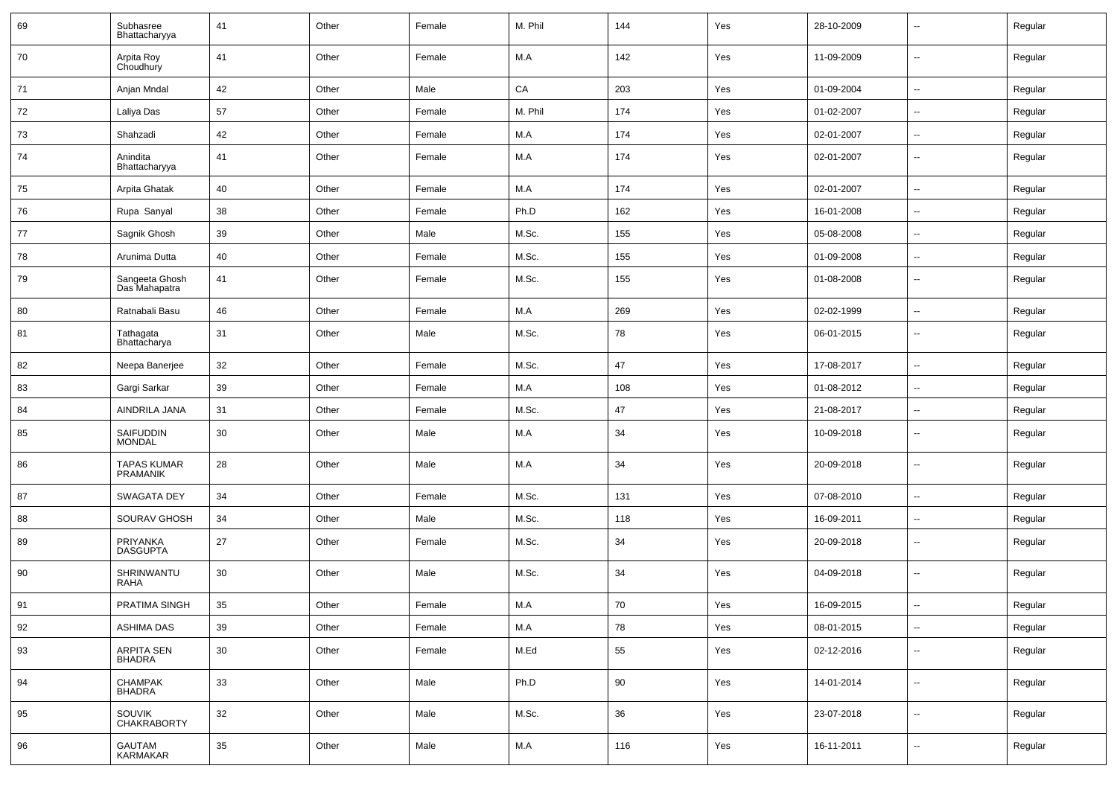| 69 | Subhasree<br>Bhattacharyya            | 41 | Other | Female | M. Phil | 144 | Yes | 28-10-2009 | $\overline{\phantom{a}}$ | Regular |
|----|---------------------------------------|----|-------|--------|---------|-----|-----|------------|--------------------------|---------|
| 70 | Arpita Roy<br>Choudhury               | 41 | Other | Female | M.A     | 142 | Yes | 11-09-2009 | $\sim$                   | Regular |
| 71 | Anjan Mndal                           | 42 | Other | Male   | CA      | 203 | Yes | 01-09-2004 | $\sim$                   | Regular |
| 72 | Laliya Das                            | 57 | Other | Female | M. Phil | 174 | Yes | 01-02-2007 | $\overline{\phantom{a}}$ | Regular |
| 73 | Shahzadi                              | 42 | Other | Female | M.A     | 174 | Yes | 02-01-2007 | $\overline{\phantom{a}}$ | Regular |
| 74 | Anindita<br>Bhattacharyya             | 41 | Other | Female | M.A     | 174 | Yes | 02-01-2007 | --                       | Regular |
| 75 | Arpita Ghatak                         | 40 | Other | Female | M.A     | 174 | Yes | 02-01-2007 | $\overline{\phantom{a}}$ | Regular |
| 76 | Rupa Sanyal                           | 38 | Other | Female | Ph.D    | 162 | Yes | 16-01-2008 | $\sim$                   | Regular |
| 77 | Sagnik Ghosh                          | 39 | Other | Male   | M.Sc.   | 155 | Yes | 05-08-2008 | $\sim$                   | Regular |
| 78 | Arunima Dutta                         | 40 | Other | Female | M.Sc.   | 155 | Yes | 01-09-2008 | $\sim$                   | Regular |
| 79 | Sangeeta Ghosh<br>Das Mahapatra       | 41 | Other | Female | M.Sc.   | 155 | Yes | 01-08-2008 | Ξ.                       | Regular |
| 80 | Ratnabali Basu                        | 46 | Other | Female | M.A     | 269 | Yes | 02-02-1999 | --                       | Regular |
| 81 | Tathagata<br>Bhattacharya             | 31 | Other | Male   | M.Sc.   | 78  | Yes | 06-01-2015 | $\sim$                   | Regular |
| 82 | Neepa Banerjee                        | 32 | Other | Female | M.Sc.   | 47  | Yes | 17-08-2017 | Ξ.                       | Regular |
| 83 | Gargi Sarkar                          | 39 | Other | Female | M.A     | 108 | Yes | 01-08-2012 | $\overline{\phantom{a}}$ | Regular |
| 84 | AINDRILA JANA                         | 31 | Other | Female | M.Sc.   | 47  | Yes | 21-08-2017 | --                       | Regular |
| 85 | SAIFUDDIN<br>MONDAL                   | 30 | Other | Male   | M.A     | 34  | Yes | 10-09-2018 | $\overline{\phantom{a}}$ | Regular |
| 86 | <b>TAPAS KUMAR</b><br><b>PRAMANIK</b> | 28 | Other | Male   | M.A     | 34  | Yes | 20-09-2018 | $\overline{\phantom{a}}$ | Regular |
| 87 | SWAGATA DEY                           | 34 | Other | Female | M.Sc.   | 131 | Yes | 07-08-2010 | $\sim$                   | Regular |
| 88 | SOURAV GHOSH                          | 34 | Other | Male   | M.Sc.   | 118 | Yes | 16-09-2011 | $\overline{\phantom{a}}$ | Regular |
| 89 | PRIYANKA<br>DASGUPTA                  | 27 | Other | Female | M.Sc.   | 34  | Yes | 20-09-2018 | $\overline{\phantom{a}}$ | Regular |
| 90 | SHRINWANTU<br><b>RAHA</b>             | 30 | Other | Male   | M.Sc.   | 34  | Yes | 04-09-2018 | --                       | Regular |
| 91 | PRATIMA SINGH                         | 35 | Other | Female | M.A     | 70  | Yes | 16-09-2015 | $\sim$                   | Regular |
| 92 | <b>ASHIMA DAS</b>                     | 39 | Other | Female | M.A     | 78  | Yes | 08-01-2015 | Ξ.                       | Regular |
| 93 | <b>ARPITA SEN</b><br><b>BHADRA</b>    | 30 | Other | Female | M.Ed    | 55  | Yes | 02-12-2016 | $\overline{\phantom{a}}$ | Regular |
| 94 | <b>CHAMPAK</b><br><b>BHADRA</b>       | 33 | Other | Male   | Ph.D    | 90  | Yes | 14-01-2014 | $\overline{\phantom{a}}$ | Regular |
| 95 | <b>SOUVIK</b><br><b>CHAKRABORTY</b>   | 32 | Other | Male   | M.Sc.   | 36  | Yes | 23-07-2018 | $\overline{\phantom{a}}$ | Regular |
| 96 | GAUTAM<br>KARMAKAR                    | 35 | Other | Male   | M.A     | 116 | Yes | 16-11-2011 | $\overline{\phantom{a}}$ | Regular |